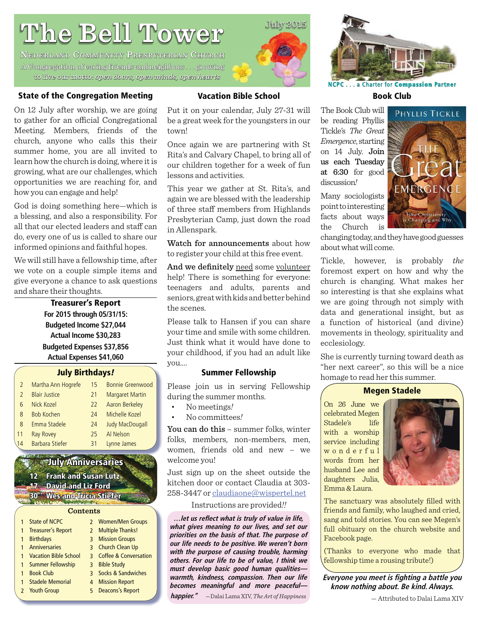# **The Bell Tower he**

**NEDERLAND COMMUNITY PRESBYTERIAN CHURCH** A Congregation of caring friends and neighbors ... growing to live our motto: motto: *open doors, open minds, open hearts pen open hearts*

#### **State of the Congregation Meeting**

On 12 July after worship, we are going to gather for an official Congregational Meeting. Members, friends of the church, anyone who calls this their summer home, you are all invited to learn how the church is doing, where it is growing, what are our challenges, which opportunities we are reaching for, and how you can engage and help!

God is doing something here—which is a blessing, and also a responsibility. For all that our elected leaders and staff can do, every one of us is called to share our informed opinions and faithful hopes.

We will still have a fellowship time, after we vote on a couple simple items and give everyone a chance to ask questions and share their thoughts.

> **Treasurer's Report For 2015 through 05/31/15: Budgeted Income \$27,044 Actual Income \$30,283 Budgeted Expenses \$37,856 Actual Expenses \$41,060**

#### **July Birthdays***!*

| 2             | Martha Ann Hogrefe     | 15 | <b>Bonnie Greenwood</b> |
|---------------|------------------------|----|-------------------------|
| $\mathcal{P}$ | <b>Blair Justice</b>   | 21 | <b>Margaret Martin</b>  |
| 6             | Nick Kozel             | 22 | Aaron Berkeley          |
| 8             | <b>Bob Kochen</b>      | 24 | Michelle Kozel          |
| 8             | Emma Stadele           | 24 | <b>Judy MacDougall</b>  |
| 11            | <b>Ray Rovey</b>       | 25 | Al Nelson               |
| $\sqrt{4}$    | <b>Barbara Stiefer</b> | 31 | Lynne James             |

### **July Anniversaries**

**12 Frank and Susan Lutz 17 David and Liz Ford avid** 

**30 Wes and Tricia Stiefer es** 

#### **Contents**

|              | <b>State of NCPC</b>    | 2 Women/Men Groups      |
|--------------|-------------------------|-------------------------|
| $\mathbf{1}$ | Treasurer's Report      | 2 Multiple Thanks!      |
| $\mathbf{1}$ | <b>Birthdays</b>        | <b>3</b> Mission Groups |
|              | 1 Anniversaries         | 3 Church Clean Up       |
|              | 1 Vacation Bible School | 3 Coffee & Conversation |
|              | 1 Summer Fellowship     | 3 Bible Study           |
| $\mathbf{1}$ | <b>Book Club</b>        | 3 Socks & Sandwiches    |
|              | 1 Stadele Memorial      | 4 Mission Report        |
|              | 2 Youth Group           | 5 Deacons's Report      |
|              |                         |                         |

#### **Vacation Bible School**

Put it on your calendar, July 27-31 will be a great week for the youngsters in our town!

Once again we are partnering with St Rita's and Calvary Chapel, to bring all of our children together for a week of fun lessons and activities.

This year we gather at St. Rita's, and again we are blessed with the leadership of three staff members from Highlands Presbyterian Camp, just down the road in Allenspark.

Watch for announcements about how to register your child at this free event.

And we definitely need some volunteer help! There is something for everyone: teenagers and adults, parents and seniors, great with kids and better behind the scenes.

Please talk to Hansen if you can share your time and smile with some children. Just think what it would have done to your childhood, if you had an adult like you....

#### **Summer Fellowship**

Please join us in serving Fellowship during the summer months.

- No meetings*!*
- No committees*!*

You can do this – summer folks, winter folks, members, non-members, men, women, friends old and new – we welcome you!

Just sign up on the sheet outside the kitchen door or contact Claudia at 303- 258-3447 or claudiaone@wispertel.net

#### Instructions are provided*!!*

... let us reflect what is truly of value in life, **what gives meaning to our lives, and set our priorities on the basis of that. The purpose of our life needs to be positive. We weren't born with the purpose of causing trouble, harming others. For our life to be of value, I think we must develop basic good human qualities warmth, kindness, compassion. Then our life becomes meaningful and more peaceful happier."** —Dalai Lama XIV, *The Art of Happiness*



**NCPC**. . . a Charter for **Compassion ompassionPartner**

**Book Club**

The Book Club will be reading Phyllis Tickle's *The Great Emergence*, starting on 14 July. Join us each Tuesday at 6:30 for good discussion*!*

Many sociologists point to interesting facts about ways the Church is



changing today, and they have good guesses about what will come.

Tickle, however, is probably *the* foremost expert on how and why the church is changing. What makes her so interesting is that she explains what we are going through not simply with data and generational insight, but as a function of historical (and divine) movements in theology, spirituality and ecclesiology.

She is currently turning toward death as "her next career", so this will be a nice homage to read her this summer.

#### **Megen Stadele**

On 26 June we celebrated Megen Stadele's life with a worship service including w o n d e r f u l words from her husband Lee and daughters Julia, Emma & Laura.



The sanctuary was absolutely filled with friends and family, who laughed and cried, sang and told stories. You can see Megen's full obituary on the church website and Facebook page.

(Thanks to everyone who made that fellowship time a rousing tribute!)

**Everyone you meet is fighting a battle you know nothing about. Be kind. Always.**

July 2015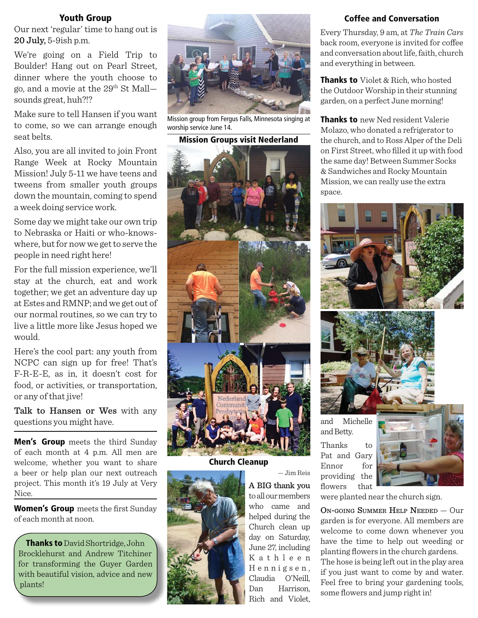#### **Youth Group**

Our next 'regular' time to hang out is 20 July, 5-9ish p.m.

We're going on a Field Trip to Boulder! Hang out on Pearl Street, dinner where the youth choose to go, and a movie at the  $29<sup>th</sup>$  St Mallsounds great, huh?!?

Make sure to tell Hansen if you want to come, so we can arrange enough seat belts.

Also, you are all invited to join Front Range Week at Rocky Mountain Mission! July 5-11 we have teens and tweens from smaller youth groups down the mountain, coming to spend a week doing service work.

Some day we might take our own trip to Nebraska or Haiti or who-knowswhere, but for now we get to serve the people in need right here!

For the full mission experience, we'll stay at the church, eat and work together; we get an adventure day up at Estes and RMNP; and we get out of our normal routines, so we can try to live a little more like Jesus hoped we would.

Here's the cool part: any youth from NCPC can sign up for free! That's F-R-E-E, as in, it doesn't cost for food, or activities, or transportation, or any of that jive!

Talk to Hansen or Wes with any questions you might have.

**Men's Group** meets the third Sunday of each month at 4 p.m. All men are welcome, whether you want to share a beer or help plan our next outreach project. This month it's 19 July at Very Nice.

**Women's Group** meets the first Sunday of each month at noon.

**Thanks to** David Shortridge, John Brocklehurst and Andrew Titchiner for transforming the Guyer Garden with beautiful vision, advice and new plants!



Mission group from Fergus Falls, Minnesota singing at worship service June 14.

**Mission Groups visit Nederland**



**Church Cleanup**



A BIG thank you to all our members who came and helped during the Church clean up day on Saturday, June 27, including K a t h l e e n H e n n i g s e n , Claudia O'Neill, Dan Harrison, Rich and Violet,

— Jim Reis

#### **Coffee and Conversation**

Every Thursday, 9 am, at *The Train Cars* back room, everyone is invited for coffee and conversation about life, faith, church and everything in between.

**Thanks to** Violet & Rich, who hosted the Outdoor Worship in their stunning garden, on a perfect June morning!

**Thanks to** new Ned resident Valerie Molazo, who donated a refrigerator to the church, and to Ross Alper of the Deli on First Street, who filled it up with food the same day! Between Summer Socks & Sandwiches and Rocky Mountain Mission, we can really use the extra space.





and Michelle and Betty.

Thanks to Pat and Gary Ennor for providing the flowers that



ON-GOING SUMMER HELP NEEDED — Our garden is for everyone. All members are welcome to come down whenever you have the time to help out weeding or planting flowers in the church gardens. The hose is being left out in the play area if you just want to come by and water. Feel free to bring your gardening tools, some flowers and jump right in!